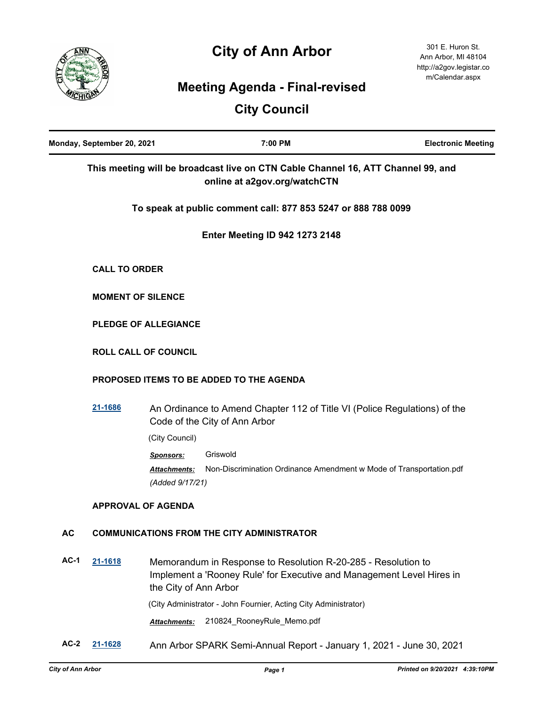# **City of Ann Arbor**



## **Meeting Agenda - Final-revised**

## **City Council**

| Monday, September 20, 2021 |                          | 7:00 PM                                                                                                                                                         | <b>Electronic Meeting</b> |
|----------------------------|--------------------------|-----------------------------------------------------------------------------------------------------------------------------------------------------------------|---------------------------|
|                            |                          | This meeting will be broadcast live on CTN Cable Channel 16, ATT Channel 99, and<br>online at a2gov.org/watchCTN                                                |                           |
|                            |                          | To speak at public comment call: 877 853 5247 or 888 788 0099                                                                                                   |                           |
|                            |                          | <b>Enter Meeting ID 942 1273 2148</b>                                                                                                                           |                           |
|                            | <b>CALL TO ORDER</b>     |                                                                                                                                                                 |                           |
|                            | <b>MOMENT OF SILENCE</b> |                                                                                                                                                                 |                           |
|                            |                          | <b>PLEDGE OF ALLEGIANCE</b>                                                                                                                                     |                           |
|                            |                          | <b>ROLL CALL OF COUNCIL</b>                                                                                                                                     |                           |
|                            |                          | PROPOSED ITEMS TO BE ADDED TO THE AGENDA                                                                                                                        |                           |
|                            | 21-1686                  | An Ordinance to Amend Chapter 112 of Title VI (Police Regulations) of the<br>Code of the City of Ann Arbor                                                      |                           |
|                            |                          | (City Council)                                                                                                                                                  |                           |
|                            |                          | Griswold<br>Sponsors:<br>Non-Discrimination Ordinance Amendment w Mode of Transportation.pdf<br>Attachments:<br>(Added 9/17/21)                                 |                           |
|                            |                          | <b>APPROVAL OF AGENDA</b>                                                                                                                                       |                           |
| <b>AC</b>                  |                          | <b>COMMUNICATIONS FROM THE CITY ADMINISTRATOR</b>                                                                                                               |                           |
| $AC-1$                     | 21-1618                  | Memorandum in Response to Resolution R-20-285 - Resolution to<br>Implement a 'Rooney Rule' for Executive and Management Level Hires in<br>the City of Ann Arbor |                           |

(City Administrator - John Fournier, Acting City Administrator)

*Attachments:* 210824\_RooneyRule\_Memo.pdf

**AC-2 [21-1628](http://a2gov.legistar.com/gateway.aspx?M=L&ID=28554)** Ann Arbor SPARK Semi-Annual Report - January 1, 2021 - June 30, 2021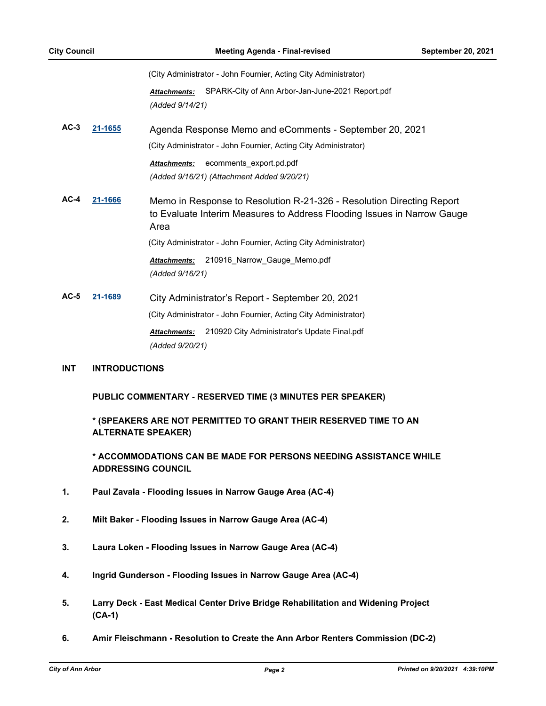(City Administrator - John Fournier, Acting City Administrator)

*Attachments:* SPARK-City of Ann Arbor-Jan-June-2021 Report.pdf *(Added 9/14/21)*

**AC-3 [21-1655](http://a2gov.legistar.com/gateway.aspx?M=L&ID=28581)** Agenda Response Memo and eComments - September 20, 2021 (City Administrator - John Fournier, Acting City Administrator)

> *Attachments:* ecomments\_export.pd.pdf *(Added 9/16/21) (Attachment Added 9/20/21)*

**AC-4 [21-1666](http://a2gov.legistar.com/gateway.aspx?M=L&ID=28592)** Memo in Response to Resolution R-21-326 - Resolution Directing Report to Evaluate Interim Measures to Address Flooding Issues in Narrow Gauge Area (City Administrator - John Fournier, Acting City Administrator) *Attachments:* 210916\_Narrow\_Gauge\_Memo.pdf

*(Added 9/16/21)*

**AC-5 [21-1689](http://a2gov.legistar.com/gateway.aspx?M=L&ID=28615)** City Administrator's Report - September 20, 2021 (City Administrator - John Fournier, Acting City Administrator) *Attachments:* 210920 City Administrator's Update Final.pdf *(Added 9/20/21)*

#### **INT INTRODUCTIONS**

**PUBLIC COMMENTARY - RESERVED TIME (3 MINUTES PER SPEAKER)**

**\* (SPEAKERS ARE NOT PERMITTED TO GRANT THEIR RESERVED TIME TO AN ALTERNATE SPEAKER)**

**\* ACCOMMODATIONS CAN BE MADE FOR PERSONS NEEDING ASSISTANCE WHILE ADDRESSING COUNCIL**

- **1. Paul Zavala Flooding Issues in Narrow Gauge Area (AC-4)**
- **2. Milt Baker Flooding Issues in Narrow Gauge Area (AC-4)**
- **3. Laura Loken Flooding Issues in Narrow Gauge Area (AC-4)**
- **4. Ingrid Gunderson Flooding Issues in Narrow Gauge Area (AC-4)**
- **5. Larry Deck East Medical Center Drive Bridge Rehabilitation and Widening Project (CA-1)**
- **6. Amir Fleischmann Resolution to Create the Ann Arbor Renters Commission (DC-2)**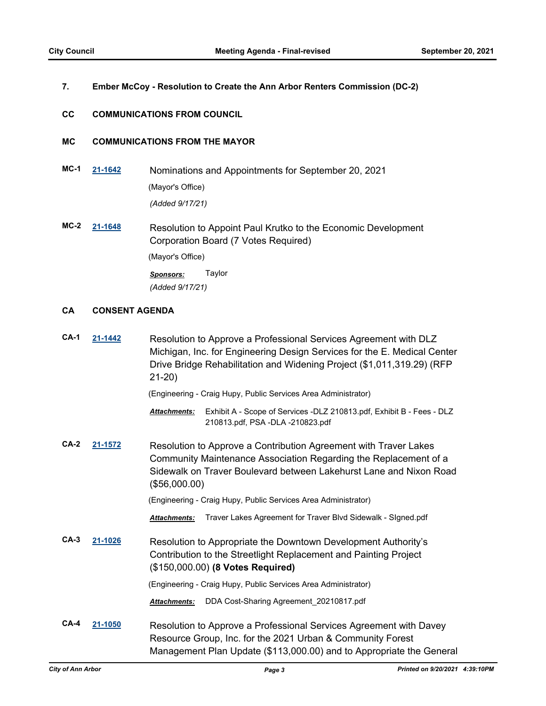## **7. Ember McCoy - Resolution to Create the Ann Arbor Renters Commission (DC-2)**

#### **CC COMMUNICATIONS FROM COUNCIL**

### **MC COMMUNICATIONS FROM THE MAYOR**

- **MC-1 [21-1642](http://a2gov.legistar.com/gateway.aspx?M=L&ID=28568)** Nominations and Appointments for September 20, 2021 (Mayor's Office) *(Added 9/17/21)*
- **MC-2 [21-1648](http://a2gov.legistar.com/gateway.aspx?M=L&ID=28574)** Resolution to Appoint Paul Krutko to the Economic Development Corporation Board (7 Votes Required) (Mayor's Office) *Sponsors:* Taylor *(Added 9/17/21)*

#### **CA CONSENT AGENDA**

| $CA-1$ | 21-1442 | Resolution to Approve a Professional Services Agreement with DLZ<br>Michigan, Inc. for Engineering Design Services for the E. Medical Center<br>Drive Bridge Rehabilitation and Widening Project (\$1,011,319.29) (RFP<br>$21-20$ |
|--------|---------|-----------------------------------------------------------------------------------------------------------------------------------------------------------------------------------------------------------------------------------|
|        |         | (Engineering - Craig Hupy, Public Services Area Administrator)                                                                                                                                                                    |
|        |         | Exhibit A - Scope of Services -DLZ 210813.pdf, Exhibit B - Fees - DLZ<br><b>Attachments:</b><br>210813.pdf, PSA -DLA -210823.pdf                                                                                                  |
| $CA-2$ | 21-1572 | Resolution to Approve a Contribution Agreement with Traver Lakes<br>Community Maintenance Association Regarding the Replacement of a<br>Sidewalk on Traver Boulevard between Lakehurst Lane and Nixon Road<br>(\$56,000.00)       |
|        |         | (Engineering - Craig Hupy, Public Services Area Administrator)                                                                                                                                                                    |
|        |         | Traver Lakes Agreement for Traver Blvd Sidewalk - Signed.pdf<br><b>Attachments:</b>                                                                                                                                               |
| $CA-3$ | 21-1026 | Resolution to Appropriate the Downtown Development Authority's<br>Contribution to the Streetlight Replacement and Painting Project<br>(\$150,000.00) (8 Votes Required)                                                           |
|        |         | (Engineering - Craig Hupy, Public Services Area Administrator)                                                                                                                                                                    |
|        |         | DDA Cost-Sharing Agreement 20210817.pdf<br><b>Attachments:</b>                                                                                                                                                                    |
| $CA-4$ | 21-1050 | Resolution to Approve a Professional Services Agreement with Davey<br>Resource Group, Inc. for the 2021 Urban & Community Forest<br>Management Plan Update (\$113,000.00) and to Appropriate the General                          |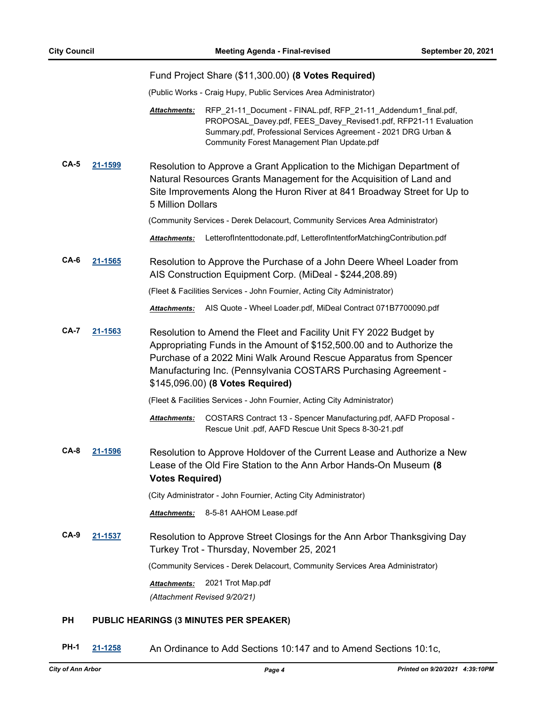|             |         | Fund Project Share (\$11,300.00) (8 Votes Required)                                                                                                                                                                                                                                                                                                                                                                              |
|-------------|---------|----------------------------------------------------------------------------------------------------------------------------------------------------------------------------------------------------------------------------------------------------------------------------------------------------------------------------------------------------------------------------------------------------------------------------------|
|             |         | (Public Works - Craig Hupy, Public Services Area Administrator)                                                                                                                                                                                                                                                                                                                                                                  |
|             |         | RFP_21-11_Document - FINAL.pdf, RFP_21-11_Addendum1_final.pdf,<br>Attachments:<br>PROPOSAL_Davey.pdf, FEES_Davey_Revised1.pdf, RFP21-11 Evaluation<br>Summary.pdf, Professional Services Agreement - 2021 DRG Urban &<br>Community Forest Management Plan Update.pdf                                                                                                                                                             |
| $CA-5$      | 21-1599 | Resolution to Approve a Grant Application to the Michigan Department of<br>Natural Resources Grants Management for the Acquisition of Land and<br>Site Improvements Along the Huron River at 841 Broadway Street for Up to<br>5 Million Dollars<br>(Community Services - Derek Delacourt, Community Services Area Administrator)<br>LetterofIntenttodonate.pdf, LetterofIntentforMatchingContribution.pdf<br><b>Attachments:</b> |
| CA-6        | 21-1565 | Resolution to Approve the Purchase of a John Deere Wheel Loader from<br>AIS Construction Equipment Corp. (MiDeal - \$244,208.89)                                                                                                                                                                                                                                                                                                 |
|             |         | (Fleet & Facilities Services - John Fournier, Acting City Administrator)                                                                                                                                                                                                                                                                                                                                                         |
|             |         | AIS Quote - Wheel Loader.pdf, MiDeal Contract 071B7700090.pdf<br>Attachments:                                                                                                                                                                                                                                                                                                                                                    |
| <b>CA-7</b> | 21-1563 | Resolution to Amend the Fleet and Facility Unit FY 2022 Budget by<br>Appropriating Funds in the Amount of \$152,500.00 and to Authorize the<br>Purchase of a 2022 Mini Walk Around Rescue Apparatus from Spencer<br>Manufacturing Inc. (Pennsylvania COSTARS Purchasing Agreement -<br>\$145,096.00) (8 Votes Required)                                                                                                          |
|             |         | (Fleet & Facilities Services - John Fournier, Acting City Administrator)                                                                                                                                                                                                                                                                                                                                                         |
|             |         | COSTARS Contract 13 - Spencer Manufacturing.pdf, AAFD Proposal -<br><b>Attachments:</b><br>Rescue Unit .pdf, AAFD Rescue Unit Specs 8-30-21.pdf                                                                                                                                                                                                                                                                                  |
| $CA-8$      | 21-1596 | Resolution to Approve Holdover of the Current Lease and Authorize a New<br>Lease of the Old Fire Station to the Ann Arbor Hands-On Museum (8<br><b>Votes Required)</b>                                                                                                                                                                                                                                                           |
|             |         | (City Administrator - John Fournier, Acting City Administrator)                                                                                                                                                                                                                                                                                                                                                                  |
|             |         | 8-5-81 AAHOM Lease.pdf<br><b>Attachments:</b>                                                                                                                                                                                                                                                                                                                                                                                    |
| $CA-9$      | 21-1537 | Resolution to Approve Street Closings for the Ann Arbor Thanksgiving Day<br>Turkey Trot - Thursday, November 25, 2021                                                                                                                                                                                                                                                                                                            |
|             |         | (Community Services - Derek Delacourt, Community Services Area Administrator)                                                                                                                                                                                                                                                                                                                                                    |
|             |         | 2021 Trot Map.pdf<br><b>Attachments:</b>                                                                                                                                                                                                                                                                                                                                                                                         |
|             |         | (Attachment Revised 9/20/21)                                                                                                                                                                                                                                                                                                                                                                                                     |
| РH          |         | PUBLIC HEARINGS (3 MINUTES PER SPEAKER)                                                                                                                                                                                                                                                                                                                                                                                          |

**PH-1 [21-1258](http://a2gov.legistar.com/gateway.aspx?M=L&ID=27189)** An Ordinance to Add Sections 10:147 and to Amend Sections 10:1c,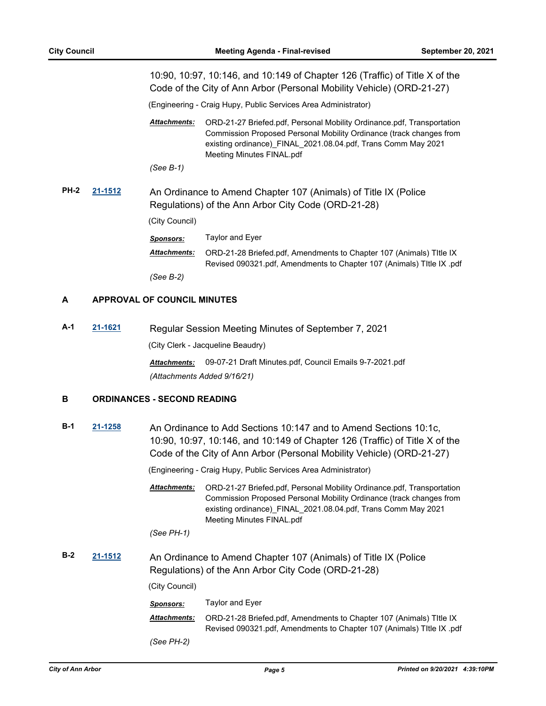|      |         |                                                                                                                        | 10:90, 10:97, 10:146, and 10:149 of Chapter 126 (Traffic) of Title X of the<br>Code of the City of Ann Arbor (Personal Mobility Vehicle) (ORD-21-27)                                                                                        |
|------|---------|------------------------------------------------------------------------------------------------------------------------|---------------------------------------------------------------------------------------------------------------------------------------------------------------------------------------------------------------------------------------------|
|      |         |                                                                                                                        | (Engineering - Craig Hupy, Public Services Area Administrator)                                                                                                                                                                              |
|      |         | <b>Attachments:</b>                                                                                                    | ORD-21-27 Briefed.pdf, Personal Mobility Ordinance.pdf, Transportation<br>Commission Proposed Personal Mobility Ordinance (track changes from<br>existing ordinance) FINAL 2021.08.04.pdf, Trans Comm May 2021<br>Meeting Minutes FINAL.pdf |
|      |         | (See B-1)                                                                                                              |                                                                                                                                                                                                                                             |
| PH-2 | 21-1512 | An Ordinance to Amend Chapter 107 (Animals) of Title IX (Police<br>Regulations) of the Ann Arbor City Code (ORD-21-28) |                                                                                                                                                                                                                                             |
|      |         |                                                                                                                        |                                                                                                                                                                                                                                             |
|      |         | (City Council)                                                                                                         |                                                                                                                                                                                                                                             |
|      |         | <b>Sponsors:</b>                                                                                                       | Taylor and Eyer                                                                                                                                                                                                                             |
|      |         | <b>Attachments:</b>                                                                                                    | ORD-21-28 Briefed.pdf, Amendments to Chapter 107 (Animals) Title IX<br>Revised 090321.pdf, Amendments to Chapter 107 (Animals) Title IX .pdf                                                                                                |
|      |         | (See B-2)                                                                                                              |                                                                                                                                                                                                                                             |

#### **A APPROVAL OF COUNCIL MINUTES**

**A-1 [21-1621](http://a2gov.legistar.com/gateway.aspx?M=L&ID=28547)** Regular Session Meeting Minutes of September 7, 2021 (City Clerk - Jacqueline Beaudry) *Attachments:* 09-07-21 Draft Minutes.pdf, Council Emails 9-7-2021.pdf

*(Attachments Added 9/16/21)*

## **B ORDINANCES - SECOND READING**

**B-1 [21-1258](http://a2gov.legistar.com/gateway.aspx?M=L&ID=27189)** An Ordinance to Add Sections 10:147 and to Amend Sections 10:1c, 10:90, 10:97, 10:146, and 10:149 of Chapter 126 (Traffic) of Title X of the Code of the City of Ann Arbor (Personal Mobility Vehicle) (ORD-21-27)

(Engineering - Craig Hupy, Public Services Area Administrator)

ORD-21-27 Briefed.pdf, Personal Mobility Ordinance.pdf, Transportation Commission Proposed Personal Mobility Ordinance (track changes from existing ordinance)\_FINAL\_2021.08.04.pdf, Trans Comm May 2021 Meeting Minutes FINAL.pdf *Attachments:*

*(See PH-1)*

**B-2 [21-1512](http://a2gov.legistar.com/gateway.aspx?M=L&ID=28438)** An Ordinance to Amend Chapter 107 (Animals) of Title IX (Police Regulations) of the Ann Arbor City Code (ORD-21-28)

(City Council)

| Sponsors:    | Taylor and Eyer                                                                                                                              |
|--------------|----------------------------------------------------------------------------------------------------------------------------------------------|
| Attachments: | ORD-21-28 Briefed.pdf, Amendments to Chapter 107 (Animals) Title IX<br>Revised 090321.pdf, Amendments to Chapter 107 (Animals) Title IX .pdf |
| (See PH-2)   |                                                                                                                                              |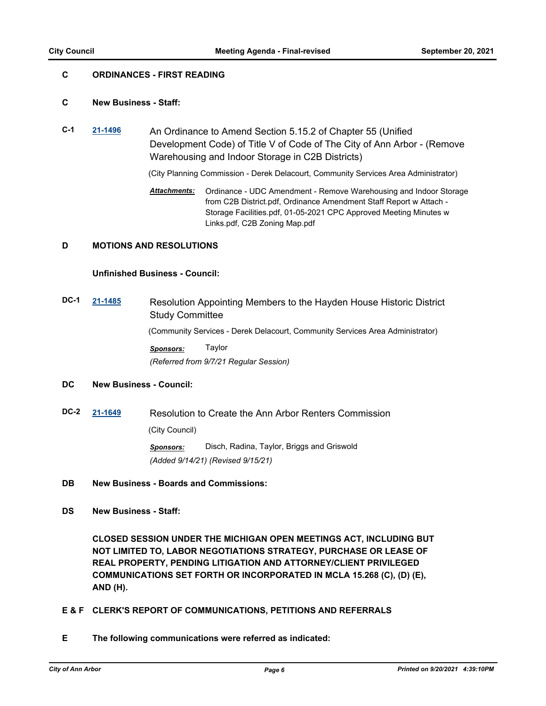## **C ORDINANCES - FIRST READING**

#### **C New Business - Staff:**

**C-1 [21-1496](http://a2gov.legistar.com/gateway.aspx?M=L&ID=28422)** An Ordinance to Amend Section 5.15.2 of Chapter 55 (Unified Development Code) of Title V of Code of The City of Ann Arbor - (Remove Warehousing and Indoor Storage in C2B Districts)

(City Planning Commission - Derek Delacourt, Community Services Area Administrator)

Ordinance - UDC Amendment - Remove Warehousing and Indoor Storage from C2B District.pdf, Ordinance Amendment Staff Report w Attach - Storage Facilities.pdf, 01-05-2021 CPC Approved Meeting Minutes w Links.pdf, C2B Zoning Map.pdf *Attachments:*

## **D MOTIONS AND RESOLUTIONS**

#### **Unfinished Business - Council:**

**DC-1 [21-1485](http://a2gov.legistar.com/gateway.aspx?M=L&ID=28411)** Resolution Appointing Members to the Hayden House Historic District Study Committee (Community Services - Derek Delacourt, Community Services Area Administrator) *Sponsors:* Taylor *(Referred from 9/7/21 Regular Session)*

## **DC New Business - Council:**

**DC-2 [21-1649](http://a2gov.legistar.com/gateway.aspx?M=L&ID=28575)** Resolution to Create the Ann Arbor Renters Commission (City Council) *Sponsors:* Disch, Radina, Taylor, Briggs and Griswold *(Added 9/14/21) (Revised 9/15/21)*

#### **DB New Business - Boards and Commissions:**

**DS New Business - Staff:**

**CLOSED SESSION UNDER THE MICHIGAN OPEN MEETINGS ACT, INCLUDING BUT NOT LIMITED TO, LABOR NEGOTIATIONS STRATEGY, PURCHASE OR LEASE OF REAL PROPERTY, PENDING LITIGATION AND ATTORNEY/CLIENT PRIVILEGED COMMUNICATIONS SET FORTH OR INCORPORATED IN MCLA 15.268 (C), (D) (E), AND (H).**

- **E & F CLERK'S REPORT OF COMMUNICATIONS, PETITIONS AND REFERRALS**
- **E The following communications were referred as indicated:**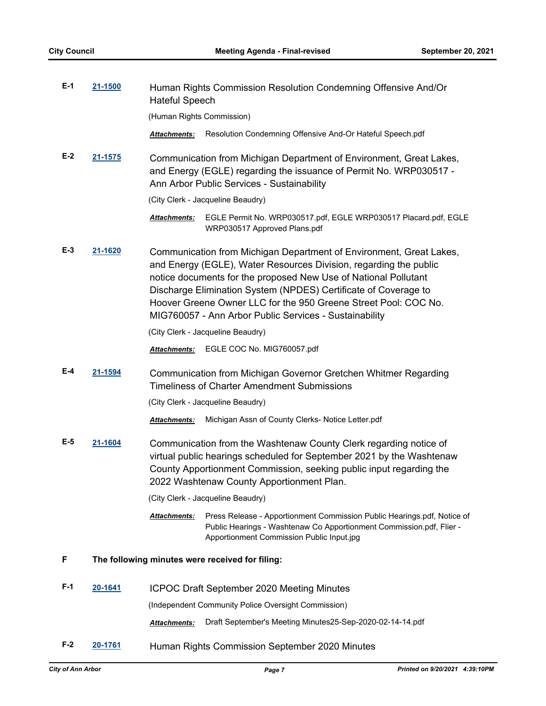| $E-1$ | 21-1500 | Human Rights Commission Resolution Condemning Offensive And/Or<br><b>Hateful Speech</b>                                                                                                                                                                                                                                                                                                                     |  |
|-------|---------|-------------------------------------------------------------------------------------------------------------------------------------------------------------------------------------------------------------------------------------------------------------------------------------------------------------------------------------------------------------------------------------------------------------|--|
|       |         | (Human Rights Commission)                                                                                                                                                                                                                                                                                                                                                                                   |  |
|       |         | Resolution Condemning Offensive And-Or Hateful Speech.pdf<br><b>Attachments:</b>                                                                                                                                                                                                                                                                                                                            |  |
| $E-2$ | 21-1575 | Communication from Michigan Department of Environment, Great Lakes,<br>and Energy (EGLE) regarding the issuance of Permit No. WRP030517 -<br>Ann Arbor Public Services - Sustainability                                                                                                                                                                                                                     |  |
|       |         | (City Clerk - Jacqueline Beaudry)                                                                                                                                                                                                                                                                                                                                                                           |  |
|       |         | EGLE Permit No. WRP030517.pdf, EGLE WRP030517 Placard.pdf, EGLE<br>Attachments:<br>WRP030517 Approved Plans.pdf                                                                                                                                                                                                                                                                                             |  |
| $E-3$ | 21-1620 | Communication from Michigan Department of Environment, Great Lakes,<br>and Energy (EGLE), Water Resources Division, regarding the public<br>notice documents for the proposed New Use of National Pollutant<br>Discharge Elimination System (NPDES) Certificate of Coverage to<br>Hoover Greene Owner LLC for the 950 Greene Street Pool: COC No.<br>MIG760057 - Ann Arbor Public Services - Sustainability |  |
|       |         | (City Clerk - Jacqueline Beaudry)                                                                                                                                                                                                                                                                                                                                                                           |  |
|       |         | EGLE COC No. MIG760057.pdf<br><b>Attachments:</b>                                                                                                                                                                                                                                                                                                                                                           |  |
| E-4   | 21-1594 | Communication from Michigan Governor Gretchen Whitmer Regarding<br><b>Timeliness of Charter Amendment Submissions</b>                                                                                                                                                                                                                                                                                       |  |
|       |         | (City Clerk - Jacqueline Beaudry)                                                                                                                                                                                                                                                                                                                                                                           |  |
|       |         | Michigan Assn of County Clerks- Notice Letter.pdf<br><b>Attachments:</b>                                                                                                                                                                                                                                                                                                                                    |  |
| E-5   | 21-1604 | Communication from the Washtenaw County Clerk regarding notice of<br>virtual public hearings scheduled for September 2021 by the Washtenaw<br>County Apportionment Commission, seeking public input regarding the<br>2022 Washtenaw County Apportionment Plan.                                                                                                                                              |  |
|       |         | (City Clerk - Jacqueline Beaudry)                                                                                                                                                                                                                                                                                                                                                                           |  |
|       |         | Attachments:<br>Press Release - Apportionment Commission Public Hearings.pdf, Notice of<br>Public Hearings - Washtenaw Co Apportionment Commission.pdf, Flier -<br>Apportionment Commission Public Input.jpg                                                                                                                                                                                                |  |
| F     |         | The following minutes were received for filing:                                                                                                                                                                                                                                                                                                                                                             |  |
| F-1   | 20-1641 | <b>ICPOC Draft September 2020 Meeting Minutes</b>                                                                                                                                                                                                                                                                                                                                                           |  |
|       |         | (Independent Community Police Oversight Commission)                                                                                                                                                                                                                                                                                                                                                         |  |
|       |         | Draft September's Meeting Minutes25-Sep-2020-02-14-14.pdf<br>Attachments:                                                                                                                                                                                                                                                                                                                                   |  |
| $F-2$ | 20-1761 | Human Rights Commission September 2020 Minutes                                                                                                                                                                                                                                                                                                                                                              |  |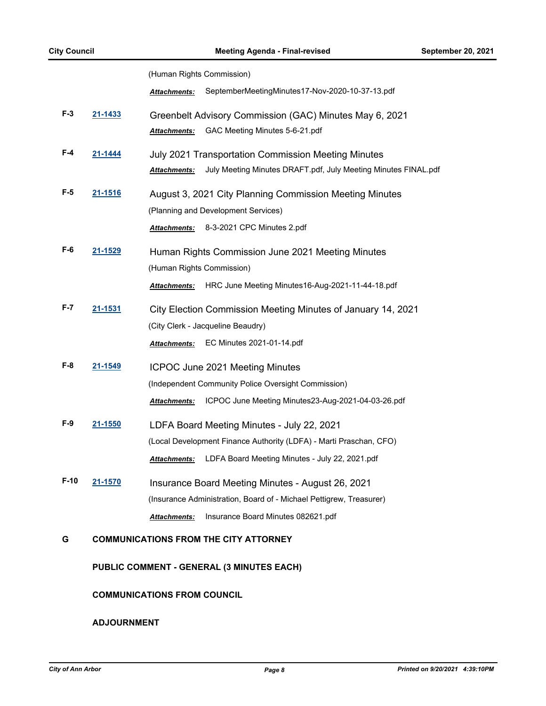|      |                | (Human Rights Commission)                                                      |
|------|----------------|--------------------------------------------------------------------------------|
|      |                | SeptemberMeetingMinutes17-Nov-2020-10-37-13.pdf<br><b>Attachments:</b>         |
| F-3  | 21-1433        | Greenbelt Advisory Commission (GAC) Minutes May 6, 2021                        |
|      |                | GAC Meeting Minutes 5-6-21.pdf<br><b>Attachments:</b>                          |
| F-4  | 21-1444        | <b>July 2021 Transportation Commission Meeting Minutes</b>                     |
|      |                | July Meeting Minutes DRAFT.pdf, July Meeting Minutes FINAL.pdf<br>Attachments: |
| F-5  | 21-1516        | August 3, 2021 City Planning Commission Meeting Minutes                        |
|      |                | (Planning and Development Services)                                            |
|      |                | Attachments: 8-3-2021 CPC Minutes 2.pdf                                        |
| F-6  | <u>21-1529</u> | Human Rights Commission June 2021 Meeting Minutes                              |
|      |                | (Human Rights Commission)                                                      |
|      |                | HRC June Meeting Minutes16-Aug-2021-11-44-18.pdf<br><b>Attachments:</b>        |
| F-7  | 21-1531        | City Election Commission Meeting Minutes of January 14, 2021                   |
|      |                | (City Clerk - Jacqueline Beaudry)                                              |
|      |                | EC Minutes 2021-01-14.pdf<br><b>Attachments:</b>                               |
| F-8  | 21-1549        | ICPOC June 2021 Meeting Minutes                                                |
|      |                | (Independent Community Police Oversight Commission)                            |
|      |                | ICPOC June Meeting Minutes23-Aug-2021-04-03-26.pdf<br><b>Attachments:</b>      |
| F-9  | 21-1550        | LDFA Board Meeting Minutes - July 22, 2021                                     |
|      |                | (Local Development Finance Authority (LDFA) - Marti Praschan, CFO)             |
|      |                | LDFA Board Meeting Minutes - July 22, 2021.pdf<br><b>Attachments:</b>          |
| F-10 | 21-1570        | Insurance Board Meeting Minutes - August 26, 2021                              |
|      |                | (Insurance Administration, Board of - Michael Pettigrew, Treasurer)            |
|      |                | Insurance Board Minutes 082621.pdf<br><b>Attachments:</b>                      |
| G    |                | <b>COMMUNICATIONS FROM THE CITY ATTORNEY</b>                                   |
|      |                |                                                                                |

**PUBLIC COMMENT - GENERAL (3 MINUTES EACH)**

## **COMMUNICATIONS FROM COUNCIL**

### **ADJOURNMENT**